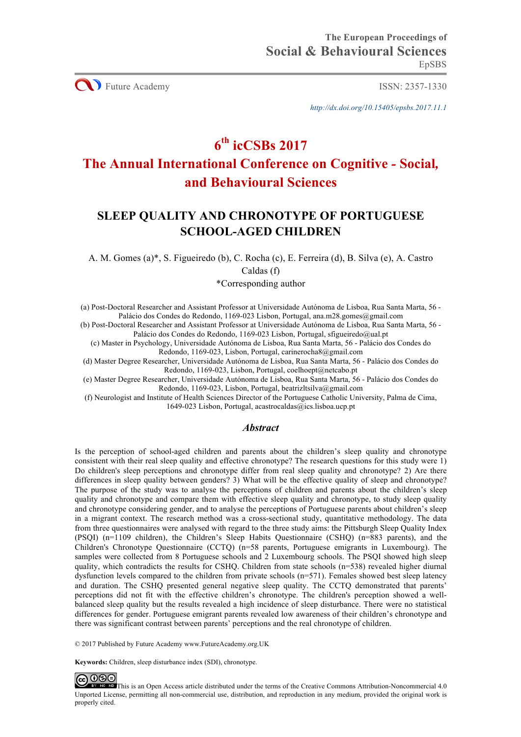**CO** Future Academy ISSN: 2357-1330

*http://dx.doi.org/10.15405/epsbs.2017.11.1*

# **6th icCSBs 2017**

## **The Annual International Conference on Cognitive** *-* **Social***,*  **and Behavioural Sciences**

## **SLEEP QUALITY AND CHRONOTYPE OF PORTUGUESE SCHOOL-AGED CHILDREN**

A. M. Gomes (a)\*, S. Figueiredo (b), C. Rocha (c), E. Ferreira (d), B. Silva (e), A. Castro Caldas (f)

\*Corresponding author

(a) Post-Doctoral Researcher and Assistant Professor at Universidade Autónoma de Lisboa, Rua Santa Marta, 56 - Palácio dos Condes do Redondo, 1169-023 Lisbon, Portugal, ana.m28.gomes@gmail.com

(b) Post-Doctoral Researcher and Assistant Professor at Universidade Autónoma de Lisboa, Rua Santa Marta, 56 - Palácio dos Condes do Redondo, 1169-023 Lisbon, Portugal, sfigueiredo@ual.pt

(c) Master in Psychology, Universidade Autónoma de Lisboa, Rua Santa Marta, 56 - Palácio dos Condes do Redondo, 1169-023, Lisbon, Portugal, carinerocha8@gmail.com

(d) Master Degree Researcher, Universidade Autónoma de Lisboa, Rua Santa Marta, 56 - Palácio dos Condes do Redondo, 1169-023, Lisbon, Portugal, coelhoept@netcabo.pt

(e) Master Degree Researcher, Universidade Autónoma de Lisboa, Rua Santa Marta, 56 - Palácio dos Condes do Redondo, 1169-023, Lisbon, Portugal, beatrizltsilva@gmail.com

(f) Neurologist and Institute of Health Sciences Director of the Portuguese Catholic University, Palma de Cima, 1649-023 Lisbon, Portugal, acastrocaldas@ics.lisboa.ucp.pt

## *Abstract*

Is the perception of school-aged children and parents about the children's sleep quality and chronotype consistent with their real sleep quality and effective chronotype? The research questions for this study were 1) Do children's sleep perceptions and chronotype differ from real sleep quality and chronotype? 2) Are there differences in sleep quality between genders? 3) What will be the effective quality of sleep and chronotype? The purpose of the study was to analyse the perceptions of children and parents about the children's sleep quality and chronotype and compare them with effective sleep quality and chronotype, to study sleep quality and chronotype considering gender, and to analyse the perceptions of Portuguese parents about children's sleep in a migrant context. The research method was a cross-sectional study, quantitative methodology. The data from three questionnaires were analysed with regard to the three study aims: the Pittsburgh Sleep Quality Index (PSQI) (n=1109 children), the Children's Sleep Habits Questionnaire (CSHQ) (n=883 parents), and the Children's Chronotype Questionnaire (CCTQ) (n=58 parents, Portuguese emigrants in Luxembourg). The samples were collected from 8 Portuguese schools and 2 Luxembourg schools. The PSQI showed high sleep quality, which contradicts the results for CSHQ. Children from state schools (n=538) revealed higher diurnal dysfunction levels compared to the children from private schools (n=571). Females showed best sleep latency and duration. The CSHQ presented general negative sleep quality. The CCTQ demonstrated that parents' perceptions did not fit with the effective children's chronotype. The children's perception showed a wellbalanced sleep quality but the results revealed a high incidence of sleep disturbance. There were no statistical differences for gender. Portuguese emigrant parents revealed low awareness of their children's chronotype and there was significant contrast between parents' perceptions and the real chronotype of children.

© 2017 Published by Future Academy www.FutureAcademy.org.UK

**Keywords:** Children, sleep disturbance index (SDI), chronotype.

@000

This is an Open Access article distributed under the terms of the Creative Commons Attribution-Noncommercial 4.0 Unported License, permitting all non-commercial use, distribution, and reproduction in any medium, provided the original work is properly cited.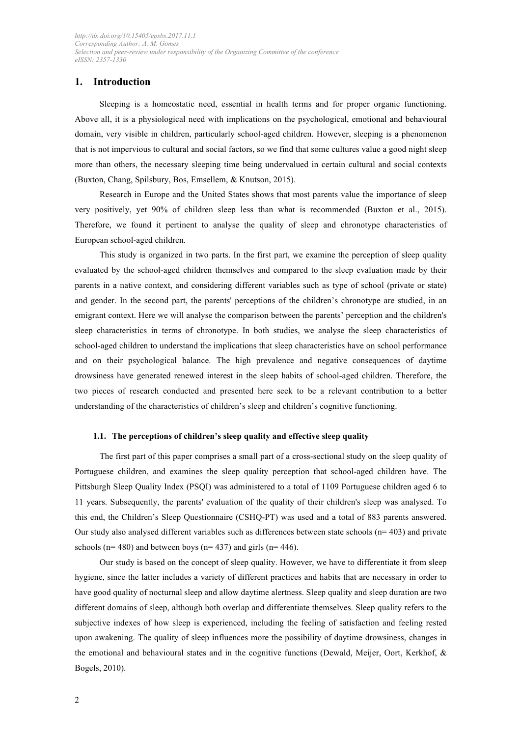## **1. Introduction**

Sleeping is a homeostatic need, essential in health terms and for proper organic functioning. Above all, it is a physiological need with implications on the psychological, emotional and behavioural domain, very visible in children, particularly school-aged children. However, sleeping is a phenomenon that is not impervious to cultural and social factors, so we find that some cultures value a good night sleep more than others, the necessary sleeping time being undervalued in certain cultural and social contexts (Buxton, Chang, Spilsbury, Bos, Emsellem, & Knutson, 2015).

Research in Europe and the United States shows that most parents value the importance of sleep very positively, yet 90% of children sleep less than what is recommended (Buxton et al., 2015). Therefore, we found it pertinent to analyse the quality of sleep and chronotype characteristics of European school-aged children.

This study is organized in two parts. In the first part, we examine the perception of sleep quality evaluated by the school-aged children themselves and compared to the sleep evaluation made by their parents in a native context, and considering different variables such as type of school (private or state) and gender. In the second part, the parents' perceptions of the children's chronotype are studied, in an emigrant context. Here we will analyse the comparison between the parents' perception and the children's sleep characteristics in terms of chronotype. In both studies, we analyse the sleep characteristics of school-aged children to understand the implications that sleep characteristics have on school performance and on their psychological balance. The high prevalence and negative consequences of daytime drowsiness have generated renewed interest in the sleep habits of school-aged children. Therefore, the two pieces of research conducted and presented here seek to be a relevant contribution to a better understanding of the characteristics of children's sleep and children's cognitive functioning.

#### **1.1. The perceptions of children's sleep quality and effective sleep quality**

The first part of this paper comprises a small part of a cross-sectional study on the sleep quality of Portuguese children, and examines the sleep quality perception that school-aged children have. The Pittsburgh Sleep Quality Index (PSQI) was administered to a total of 1109 Portuguese children aged 6 to 11 years. Subsequently, the parents' evaluation of the quality of their children's sleep was analysed. To this end, the Children's Sleep Questionnaire (CSHQ-PT) was used and a total of 883 parents answered. Our study also analysed different variables such as differences between state schools ( $n= 403$ ) and private schools ( $n= 480$ ) and between boys ( $n= 437$ ) and girls ( $n= 446$ ).

Our study is based on the concept of sleep quality. However, we have to differentiate it from sleep hygiene, since the latter includes a variety of different practices and habits that are necessary in order to have good quality of nocturnal sleep and allow daytime alertness. Sleep quality and sleep duration are two different domains of sleep, although both overlap and differentiate themselves. Sleep quality refers to the subjective indexes of how sleep is experienced, including the feeling of satisfaction and feeling rested upon awakening. The quality of sleep influences more the possibility of daytime drowsiness, changes in the emotional and behavioural states and in the cognitive functions (Dewald, Meijer, Oort, Kerkhof, & Bogels, 2010).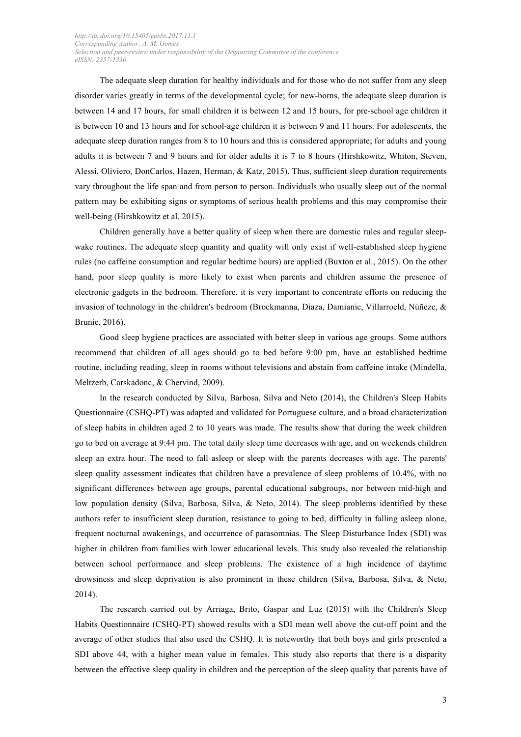The adequate sleep duration for healthy individuals and for those who do not suffer from any sleep disorder varies greatly in terms of the developmental cycle; for new-borns, the adequate sleep duration is between 14 and 17 hours, for small children it is between 12 and 15 hours, for pre-school age children it is between 10 and 13 hours and for school-age children it is between 9 and 11 hours. For adolescents, the adequate sleep duration ranges from 8 to 10 hours and this is considered appropriate; for adults and young adults it is between 7 and 9 hours and for older adults it is 7 to 8 hours (Hirshkowitz, Whiton, Steven, Alessi, Oliviero, DonCarlos, Hazen, Herman, & Katz, 2015). Thus, sufficient sleep duration requirements vary throughout the life span and from person to person. Individuals who usually sleep out of the normal pattern may be exhibiting signs or symptoms of serious health problems and this may compromise their well-being (Hirshkowitz et al. 2015).

Children generally have a better quality of sleep when there are domestic rules and regular sleepwake routines. The adequate sleep quantity and quality will only exist if well-established sleep hygiene rules (no caffeine consumption and regular bedtime hours) are applied (Buxton et al., 2015). On the other hand, poor sleep quality is more likely to exist when parents and children assume the presence of electronic gadgets in the bedroom. Therefore, it is very important to concentrate efforts on reducing the invasion of technology in the children's bedroom (Brockmanna, Diaza, Damianic, Villarroeld, Núñezc, & Brunie, 2016).

Good sleep hygiene practices are associated with better sleep in various age groups. Some authors recommend that children of all ages should go to bed before 9:00 pm, have an established bedtime routine, including reading, sleep in rooms without televisions and abstain from caffeine intake (Mindella, Meltzerb, Carskadonc, & Chervind, 2009).

In the research conducted by Silva, Barbosa, Silva and Neto (2014), the Children's Sleep Habits Questionnaire (CSHQ-PT) was adapted and validated for Portuguese culture, and a broad characterization of sleep habits in children aged 2 to 10 years was made. The results show that during the week children go to bed on average at 9:44 pm. The total daily sleep time decreases with age, and on weekends children sleep an extra hour. The need to fall asleep or sleep with the parents decreases with age. The parents' sleep quality assessment indicates that children have a prevalence of sleep problems of 10.4%, with no significant differences between age groups, parental educational subgroups, nor between mid-high and low population density (Silva, Barbosa, Silva, & Neto, 2014). The sleep problems identified by these authors refer to insufficient sleep duration, resistance to going to bed, difficulty in falling asleep alone, frequent nocturnal awakenings, and occurrence of parasomnias. The Sleep Disturbance Index (SDI) was higher in children from families with lower educational levels. This study also revealed the relationship between school performance and sleep problems. The existence of a high incidence of daytime drowsiness and sleep deprivation is also prominent in these children (Silva, Barbosa, Silva, & Neto, 2014).

The research carried out by Arriaga, Brito, Gaspar and Luz (2015) with the Children's Sleep Habits Questionnaire (CSHQ-PT) showed results with a SDI mean well above the cut-off point and the average of other studies that also used the CSHQ. It is noteworthy that both boys and girls presented a SDI above 44, with a higher mean value in females. This study also reports that there is a disparity between the effective sleep quality in children and the perception of the sleep quality that parents have of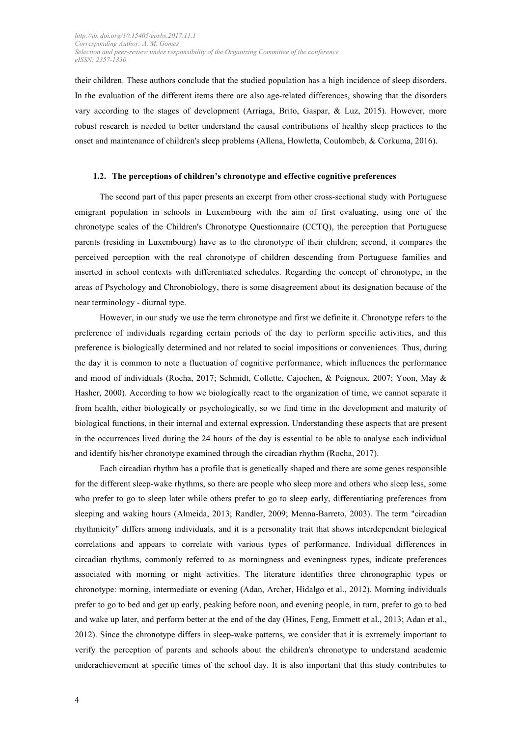their children. These authors conclude that the studied population has a high incidence of sleep disorders. In the evaluation of the different items there are also age-related differences, showing that the disorders vary according to the stages of development (Arriaga, Brito, Gaspar, & Luz, 2015). However, more robust research is needed to better understand the causal contributions of healthy sleep practices to the onset and maintenance of children's sleep problems (Allena, Howletta, Coulombeb, & Corkuma, 2016).

#### **1.2. The perceptions of children's chronotype and effective cognitive preferences**

The second part of this paper presents an excerpt from other cross-sectional study with Portuguese emigrant population in schools in Luxembourg with the aim of first evaluating, using one of the chronotype scales of the Children's Chronotype Questionnaire (CCTQ), the perception that Portuguese parents (residing in Luxembourg) have as to the chronotype of their children; second, it compares the perceived perception with the real chronotype of children descending from Portuguese families and inserted in school contexts with differentiated schedules. Regarding the concept of chronotype, in the areas of Psychology and Chronobiology, there is some disagreement about its designation because of the near terminology - diurnal type.

However, in our study we use the term chronotype and first we definite it. Chronotype refers to the preference of individuals regarding certain periods of the day to perform specific activities, and this preference is biologically determined and not related to social impositions or conveniences. Thus, during the day it is common to note a fluctuation of cognitive performance, which influences the performance and mood of individuals (Rocha, 2017; Schmidt, Collette, Cajochen, & Peigneux, 2007; Yoon, May & Hasher, 2000). According to how we biologically react to the organization of time, we cannot separate it from health, either biologically or psychologically, so we find time in the development and maturity of biological functions, in their internal and external expression. Understanding these aspects that are present in the occurrences lived during the 24 hours of the day is essential to be able to analyse each individual and identify his/her chronotype examined through the circadian rhythm (Rocha, 2017).

Each circadian rhythm has a profile that is genetically shaped and there are some genes responsible for the different sleep-wake rhythms, so there are people who sleep more and others who sleep less, some who prefer to go to sleep later while others prefer to go to sleep early, differentiating preferences from sleeping and waking hours (Almeida, 2013; Randler, 2009; Menna-Barreto, 2003). The term "circadian rhythmicity" differs among individuals, and it is a personality trait that shows interdependent biological correlations and appears to correlate with various types of performance. Individual differences in circadian rhythms, commonly referred to as morningness and eveningness types, indicate preferences associated with morning or night activities. The literature identifies three chronographic types or chronotype: morning, intermediate or evening (Adan, Archer, Hidalgo et al., 2012). Morning individuals prefer to go to bed and get up early, peaking before noon, and evening people, in turn, prefer to go to bed and wake up later, and perform better at the end of the day (Hines, Feng, Emmett et al., 2013; Adan et al., 2012). Since the chronotype differs in sleep-wake patterns, we consider that it is extremely important to verify the perception of parents and schools about the children's chronotype to understand academic underachievement at specific times of the school day. It is also important that this study contributes to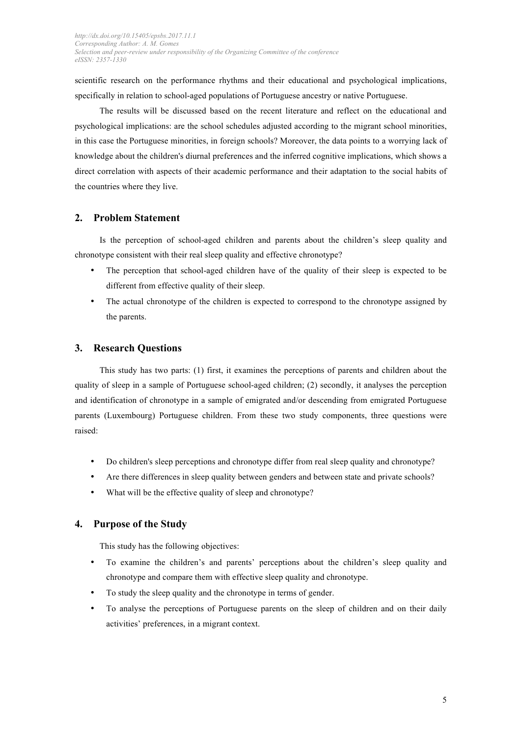scientific research on the performance rhythms and their educational and psychological implications, specifically in relation to school-aged populations of Portuguese ancestry or native Portuguese.

The results will be discussed based on the recent literature and reflect on the educational and psychological implications: are the school schedules adjusted according to the migrant school minorities, in this case the Portuguese minorities, in foreign schools? Moreover, the data points to a worrying lack of knowledge about the children's diurnal preferences and the inferred cognitive implications, which shows a direct correlation with aspects of their academic performance and their adaptation to the social habits of the countries where they live.

## **2. Problem Statement**

Is the perception of school-aged children and parents about the children's sleep quality and chronotype consistent with their real sleep quality and effective chronotype?

- The perception that school-aged children have of the quality of their sleep is expected to be different from effective quality of their sleep.
- The actual chronotype of the children is expected to correspond to the chronotype assigned by the parents.

## **3. Research Questions**

This study has two parts: (1) first, it examines the perceptions of parents and children about the quality of sleep in a sample of Portuguese school-aged children; (2) secondly, it analyses the perception and identification of chronotype in a sample of emigrated and/or descending from emigrated Portuguese parents (Luxembourg) Portuguese children. From these two study components, three questions were raised:

- Do children's sleep perceptions and chronotype differ from real sleep quality and chronotype?
- Are there differences in sleep quality between genders and between state and private schools?
- What will be the effective quality of sleep and chronotype?

## **4. Purpose of the Study**

This study has the following objectives:

- To examine the children's and parents' perceptions about the children's sleep quality and chronotype and compare them with effective sleep quality and chronotype.
- To study the sleep quality and the chronotype in terms of gender.
- To analyse the perceptions of Portuguese parents on the sleep of children and on their daily activities' preferences, in a migrant context.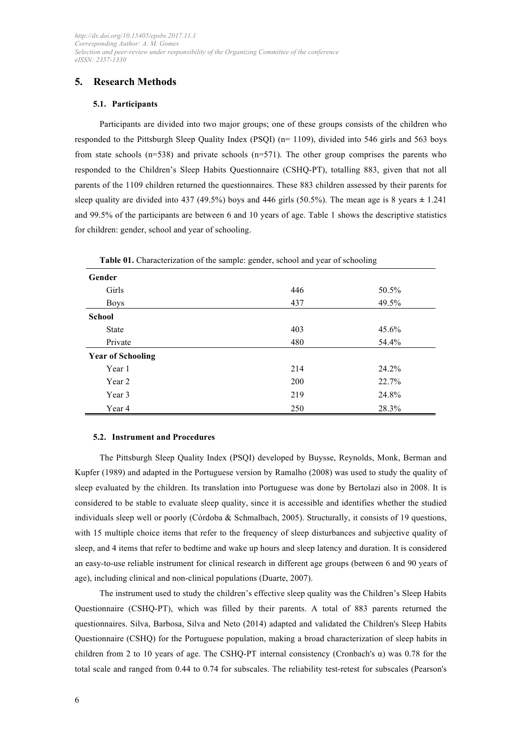## **5. Research Methods**

## **5.1. Participants**

Participants are divided into two major groups; one of these groups consists of the children who responded to the Pittsburgh Sleep Quality Index (PSQI) (n= 1109), divided into 546 girls and 563 boys from state schools (n=538) and private schools (n=571). The other group comprises the parents who responded to the Children's Sleep Habits Questionnaire (CSHQ-PT), totalling 883, given that not all parents of the 1109 children returned the questionnaires. These 883 children assessed by their parents for sleep quality are divided into 437 (49.5%) boys and 446 girls (50.5%). The mean age is 8 years **±** 1.241 and 99.5% of the participants are between 6 and 10 years of age. Table 1 shows the descriptive statistics for children: gender, school and year of schooling.

|                          | <b>Table 01.</b> Characterization of the sample, genuer, senoof and year of senoomig |       |
|--------------------------|--------------------------------------------------------------------------------------|-------|
| Gender                   |                                                                                      |       |
| Girls                    | 446                                                                                  | 50.5% |
| <b>Boys</b>              | 437                                                                                  | 49.5% |
| <b>School</b>            |                                                                                      |       |
| <b>State</b>             | 403                                                                                  | 45.6% |
| Private                  | 480                                                                                  | 54.4% |
| <b>Year of Schooling</b> |                                                                                      |       |
| Year 1                   | 214                                                                                  | 24.2% |
| Year 2                   | 200                                                                                  | 22.7% |
| Year 3                   | 219                                                                                  | 24.8% |
| Year 4                   | 250                                                                                  | 28.3% |

**Table 01.** Characterization of the sample: gender, school and year of schooling

#### **5.2. Instrument and Procedures**

The Pittsburgh Sleep Quality Index (PSQI) developed by Buysse, Reynolds, Monk, Berman and Kupfer (1989) and adapted in the Portuguese version by Ramalho (2008) was used to study the quality of sleep evaluated by the children. Its translation into Portuguese was done by Bertolazi also in 2008. It is considered to be stable to evaluate sleep quality, since it is accessible and identifies whether the studied individuals sleep well or poorly (Córdoba & Schmalbach, 2005). Structurally, it consists of 19 questions, with 15 multiple choice items that refer to the frequency of sleep disturbances and subjective quality of sleep, and 4 items that refer to bedtime and wake up hours and sleep latency and duration. It is considered an easy-to-use reliable instrument for clinical research in different age groups (between 6 and 90 years of age), including clinical and non-clinical populations (Duarte, 2007).

The instrument used to study the children's effective sleep quality was the Children's Sleep Habits Questionnaire (CSHQ-PT), which was filled by their parents. A total of 883 parents returned the questionnaires. Silva, Barbosa, Silva and Neto (2014) adapted and validated the Children's Sleep Habits Questionnaire (CSHQ) for the Portuguese population, making a broad characterization of sleep habits in children from 2 to 10 years of age. The CSHQ-PT internal consistency (Cronbach's α) was 0.78 for the total scale and ranged from 0.44 to 0.74 for subscales. The reliability test-retest for subscales (Pearson's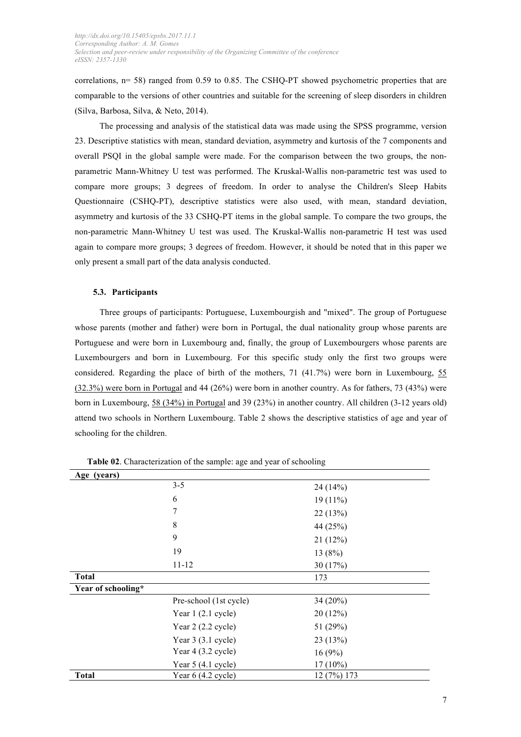correlations,  $n= 58$ ) ranged from 0.59 to 0.85. The CSHQ-PT showed psychometric properties that are comparable to the versions of other countries and suitable for the screening of sleep disorders in children (Silva, Barbosa, Silva, & Neto, 2014).

The processing and analysis of the statistical data was made using the SPSS programme, version 23. Descriptive statistics with mean, standard deviation, asymmetry and kurtosis of the 7 components and overall PSQI in the global sample were made. For the comparison between the two groups, the nonparametric Mann-Whitney U test was performed. The Kruskal-Wallis non-parametric test was used to compare more groups; 3 degrees of freedom. In order to analyse the Children's Sleep Habits Questionnaire (CSHQ-PT), descriptive statistics were also used, with mean, standard deviation, asymmetry and kurtosis of the 33 CSHQ-PT items in the global sample. To compare the two groups, the non-parametric Mann-Whitney U test was used. The Kruskal-Wallis non-parametric H test was used again to compare more groups; 3 degrees of freedom. However, it should be noted that in this paper we only present a small part of the data analysis conducted.

#### **5.3. Participants**

Three groups of participants: Portuguese, Luxembourgish and "mixed". The group of Portuguese whose parents (mother and father) were born in Portugal, the dual nationality group whose parents are Portuguese and were born in Luxembourg and, finally, the group of Luxembourgers whose parents are Luxembourgers and born in Luxembourg. For this specific study only the first two groups were considered. Regarding the place of birth of the mothers, 71 (41.7%) were born in Luxembourg, 55 (32.3%) were born in Portugal and 44 (26%) were born in another country. As for fathers, 73 (43%) were born in Luxembourg, 58 (34%) in Portugal and 39 (23%) in another country. All children (3-12 years old) attend two schools in Northern Luxembourg. Table 2 shows the descriptive statistics of age and year of schooling for the children.

| Age (years)        |                             |             |
|--------------------|-----------------------------|-------------|
|                    | $3 - 5$                     | 24(14%)     |
|                    | 6                           | $19(11\%)$  |
|                    | 7                           | 22(13%)     |
|                    | 8                           | 44 (25%)    |
|                    | 9                           | 21(12%)     |
|                    | 19                          | 13(8%)      |
|                    | $11 - 12$                   | 30 (17%)    |
| <b>Total</b>       |                             | 173         |
| Year of schooling* |                             |             |
|                    | Pre-school (1st cycle)      | 34 (20%)    |
|                    | Year 1 (2.1 cycle)          | 20(12%)     |
|                    | Year $2(2.2$ cycle)         | 51 (29%)    |
|                    | Year $3(3.1$ cycle)         | 23(13%)     |
|                    | Year $4(3.2 \text{ cycle})$ | 16(9%)      |
|                    | Year $5(4.1$ cycle)         | $17(10\%)$  |
| <b>Total</b>       | Year $6(4.2 \text{ cycle})$ | 12 (7%) 173 |

**Table 02**. Characterization of the sample: age and year of schooling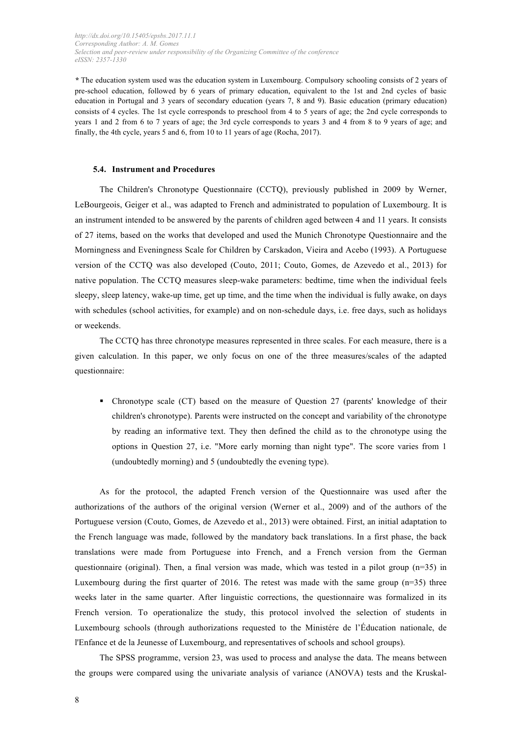*\** The education system used was the education system in Luxembourg. Compulsory schooling consists of 2 years of pre-school education, followed by 6 years of primary education, equivalent to the 1st and 2nd cycles of basic education in Portugal and 3 years of secondary education (years 7, 8 and 9). Basic education (primary education) consists of 4 cycles. The 1st cycle corresponds to preschool from 4 to 5 years of age; the 2nd cycle corresponds to years 1 and 2 from 6 to 7 years of age; the 3rd cycle corresponds to years 3 and 4 from 8 to 9 years of age; and finally, the 4th cycle, years 5 and 6, from 10 to 11 years of age (Rocha, 2017).

#### **5.4. Instrument and Procedures**

The Children's Chronotype Questionnaire (CCTQ), previously published in 2009 by Werner, LeBourgeois, Geiger et al., was adapted to French and administrated to population of Luxembourg. It is an instrument intended to be answered by the parents of children aged between 4 and 11 years. It consists of 27 items, based on the works that developed and used the Munich Chronotype Questionnaire and the Morningness and Eveningness Scale for Children by Carskadon, Vieira and Acebo (1993). A Portuguese version of the CCTQ was also developed (Couto, 2011; Couto, Gomes, de Azevedo et al., 2013) for native population. The CCTQ measures sleep-wake parameters: bedtime, time when the individual feels sleepy, sleep latency, wake-up time, get up time, and the time when the individual is fully awake, on days with schedules (school activities, for example) and on non-schedule days, i.e. free days, such as holidays or weekends.

The CCTQ has three chronotype measures represented in three scales. For each measure, there is a given calculation. In this paper, we only focus on one of the three measures/scales of the adapted questionnaire:

! Chronotype scale (CT) based on the measure of Question 27 (parents' knowledge of their children's chronotype). Parents were instructed on the concept and variability of the chronotype by reading an informative text. They then defined the child as to the chronotype using the options in Question 27, i.e. "More early morning than night type". The score varies from 1 (undoubtedly morning) and 5 (undoubtedly the evening type).

As for the protocol, the adapted French version of the Questionnaire was used after the authorizations of the authors of the original version (Werner et al., 2009) and of the authors of the Portuguese version (Couto, Gomes, de Azevedo et al., 2013) were obtained. First, an initial adaptation to the French language was made, followed by the mandatory back translations. In a first phase, the back translations were made from Portuguese into French, and a French version from the German questionnaire (original). Then, a final version was made, which was tested in a pilot group (n=35) in Luxembourg during the first quarter of 2016. The retest was made with the same group  $(n=35)$  three weeks later in the same quarter. After linguistic corrections, the questionnaire was formalized in its French version. To operationalize the study, this protocol involved the selection of students in Luxembourg schools (through authorizations requested to the Ministére de l'Éducation nationale, de l'Enfance et de la Jeunesse of Luxembourg, and representatives of schools and school groups).

The SPSS programme, version 23, was used to process and analyse the data. The means between the groups were compared using the univariate analysis of variance (ANOVA) tests and the Kruskal-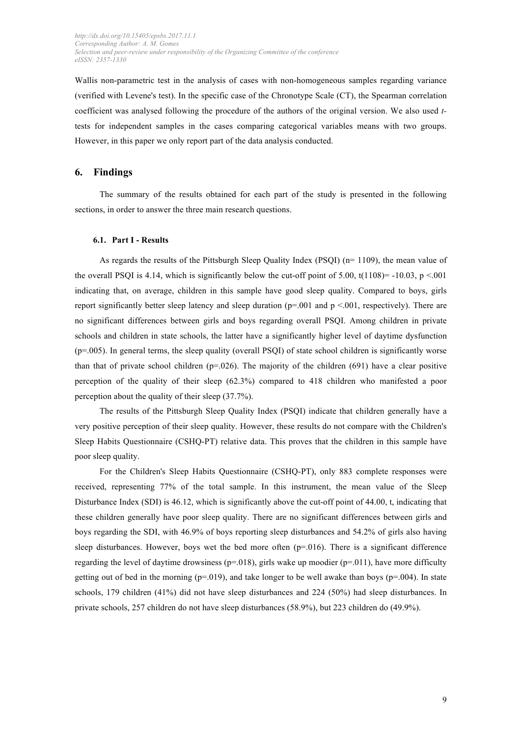Wallis non-parametric test in the analysis of cases with non-homogeneous samples regarding variance (verified with Levene's test). In the specific case of the Chronotype Scale (CT), the Spearman correlation coefficient was analysed following the procedure of the authors of the original version. We also used *t*tests for independent samples in the cases comparing categorical variables means with two groups. However, in this paper we only report part of the data analysis conducted.

## **6. Findings**

The summary of the results obtained for each part of the study is presented in the following sections, in order to answer the three main research questions.

#### **6.1. Part I - Results**

As regards the results of the Pittsburgh Sleep Quality Index (PSQI) (n= 1109), the mean value of the overall PSOI is 4.14, which is significantly below the cut-off point of 5.00,  $t(1108) = -10.03$ ,  $p < 001$ indicating that, on average, children in this sample have good sleep quality. Compared to boys, girls report significantly better sleep latency and sleep duration ( $p=0.001$  and  $p < 0.01$ , respectively). There are no significant differences between girls and boys regarding overall PSQI. Among children in private schools and children in state schools, the latter have a significantly higher level of daytime dysfunction (p=.005). In general terms, the sleep quality (overall PSQI) of state school children is significantly worse than that of private school children ( $p=0.026$ ). The majority of the children (691) have a clear positive perception of the quality of their sleep (62.3%) compared to 418 children who manifested a poor perception about the quality of their sleep (37.7%).

The results of the Pittsburgh Sleep Quality Index (PSQI) indicate that children generally have a very positive perception of their sleep quality. However, these results do not compare with the Children's Sleep Habits Questionnaire (CSHQ-PT) relative data. This proves that the children in this sample have poor sleep quality.

For the Children's Sleep Habits Questionnaire (CSHQ-PT), only 883 complete responses were received, representing 77% of the total sample. In this instrument, the mean value of the Sleep Disturbance Index (SDI) is 46.12, which is significantly above the cut-off point of 44.00, t, indicating that these children generally have poor sleep quality. There are no significant differences between girls and boys regarding the SDI, with 46.9% of boys reporting sleep disturbances and 54.2% of girls also having sleep disturbances. However, boys wet the bed more often  $(p=0.016)$ . There is a significant difference regarding the level of daytime drowsiness ( $p=018$ ), girls wake up moodier ( $p=011$ ), have more difficulty getting out of bed in the morning ( $p=019$ ), and take longer to be well awake than boys ( $p=004$ ). In state schools, 179 children (41%) did not have sleep disturbances and 224 (50%) had sleep disturbances. In private schools, 257 children do not have sleep disturbances (58.9%), but 223 children do (49.9%).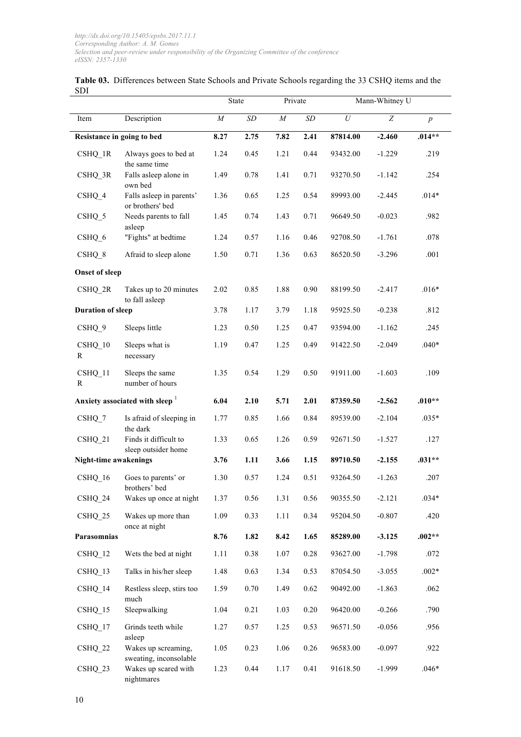|                            |                                               |          | State |          | Mann-Whitney U<br>Private |          |                  |                  |
|----------------------------|-----------------------------------------------|----------|-------|----------|---------------------------|----------|------------------|------------------|
| Item                       | Description                                   | $\cal M$ | SD    | $\cal M$ | $\cal SD$                 | $\cal U$ | $\boldsymbol{Z}$ | $\boldsymbol{p}$ |
| Resistance in going to bed |                                               | 8.27     | 2.75  | 7.82     | 2.41                      | 87814.00 | $-2.460$         | $.014**$         |
| $CSHQ_1R$                  | Always goes to bed at<br>the same time        | 1.24     | 0.45  | 1.21     | 0.44                      | 93432.00 | $-1.229$         | .219             |
| $CSHQ_3R$                  | Falls asleep alone in<br>own bed              | 1.49     | 0.78  | 1.41     | 0.71                      | 93270.50 | $-1.142$         | .254             |
| CSHQ 4                     | Falls asleep in parents'<br>or brothers' bed  | 1.36     | 0.65  | 1.25     | 0.54                      | 89993.00 | $-2.445$         | $.014*$          |
| CSHQ 5                     | Needs parents to fall<br>asleep               | 1.45     | 0.74  | 1.43     | 0.71                      | 96649.50 | $-0.023$         | .982             |
| CSHQ 6                     | "Fights" at bedtime                           | 1.24     | 0.57  | 1.16     | 0.46                      | 92708.50 | $-1.761$         | .078             |
| CSHQ 8                     | Afraid to sleep alone                         | 1.50     | 0.71  | 1.36     | 0.63                      | 86520.50 | $-3.296$         | .001             |
| <b>Onset of sleep</b>      |                                               |          |       |          |                           |          |                  |                  |
| $\text{CSHQ}_2\text{R}$    | Takes up to 20 minutes<br>to fall asleep      | 2.02     | 0.85  | 1.88     | 0.90                      | 88199.50 | $-2.417$         | $.016*$          |
| <b>Duration of sleep</b>   |                                               | 3.78     | 1.17  | 3.79     | 1.18                      | 95925.50 | $-0.238$         | .812             |
| CSHQ 9                     | Sleeps little                                 | 1.23     | 0.50  | 1.25     | 0.47                      | 93594.00 | $-1.162$         | .245             |
| CSHQ 10<br>R               | Sleeps what is<br>necessary                   | 1.19     | 0.47  | 1.25     | 0.49                      | 91422.50 | $-2.049$         | $.040*$          |
| CSHQ 11<br>R               | Sleeps the same<br>number of hours            | 1.35     | 0.54  | 1.29     | 0.50                      | 91911.00 | $-1.603$         | .109             |
|                            | Anxiety associated with sleep <sup>1</sup>    | 6.04     | 2.10  | 5.71     | 2.01                      | 87359.50 | $-2.562$         | $.010**$         |
| $CSHQ_7$                   | Is afraid of sleeping in<br>the dark          | 1.77     | 0.85  | 1.66     | 0.84                      | 89539.00 | $-2.104$         | $.035*$          |
| CSHQ 21                    | Finds it difficult to<br>sleep outsider home  | 1.33     | 0.65  | 1.26     | 0.59                      | 92671.50 | $-1.527$         | .127             |
| Night-time awakenings      |                                               | 3.76     | 1.11  | 3.66     | 1.15                      | 89710.50 | $-2.155$         | $.031**$         |
| CSHQ 16                    | Goes to parents' or<br>brothers' bed          | 1.30     | 0.57  | 1.24     | 0.51                      | 93264.50 | $-1.263$         | .207             |
| CSHQ 24                    | Wakes up once at night                        | 1.37     | 0.56  | 1.31     | 0.56                      | 90355.50 | $-2.121$         | $.034*$          |
| CSHQ 25                    | Wakes up more than<br>once at night           | 1.09     | 0.33  | 1.11     | 0.34                      | 95204.50 | $-0.807$         | .420             |
| Parasomnias                |                                               | 8.76     | 1.82  | 8.42     | 1.65                      | 85289.00 | $-3.125$         | $.002**$         |
| CSHQ 12                    | Wets the bed at night                         | 1.11     | 0.38  | 1.07     | 0.28                      | 93627.00 | $-1.798$         | .072             |
| CSHQ 13                    | Talks in his/her sleep                        | 1.48     | 0.63  | 1.34     | 0.53                      | 87054.50 | $-3.055$         | $.002*$          |
| $CSHQ_14$                  | Restless sleep, stirs too<br>much             | 1.59     | 0.70  | 1.49     | 0.62                      | 90492.00 | $-1.863$         | .062             |
| $CSHQ_15$                  | Sleepwalking                                  | 1.04     | 0.21  | 1.03     | 0.20                      | 96420.00 | $-0.266$         | .790             |
| CSHQ 17                    | Grinds teeth while<br>asleep                  | 1.27     | 0.57  | 1.25     | 0.53                      | 96571.50 | $-0.056$         | .956             |
| CSHQ 22                    | Wakes up screaming,<br>sweating, inconsolable | 1.05     | 0.23  | 1.06     | 0.26                      | 96583.00 | $-0.097$         | .922             |
| $\text{CSHQ}_23$           | Wakes up scared with<br>nightmares            | 1.23     | 0.44  | 1.17     | 0.41                      | 91618.50 | $-1.999$         | $.046*$          |

|      |  |  |  | <b>Table 03.</b> Differences between State Schools and Private Schools regarding the 33 CSHQ items and the |
|------|--|--|--|------------------------------------------------------------------------------------------------------------|
| -SDI |  |  |  |                                                                                                            |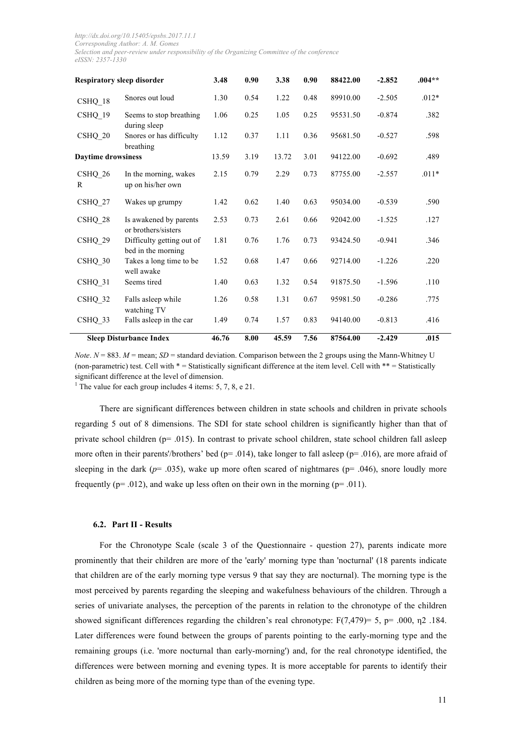| <b>Respiratory sleep disorder</b> |                                                 | 3.48  | 0.90 | 3.38  | 0.90 | 88422.00 | $-2.852$ | $.004**$ |
|-----------------------------------|-------------------------------------------------|-------|------|-------|------|----------|----------|----------|
| CSHQ 18                           | Snores out loud                                 | 1.30  | 0.54 | 1.22  | 0.48 | 89910.00 | $-2.505$ | $.012*$  |
| CSHQ 19                           | Seems to stop breathing<br>during sleep         | 1.06  | 0.25 | 1.05  | 0.25 | 95531.50 | $-0.874$ | .382     |
| CSHQ 20                           | Snores or has difficulty<br>breathing           | 1.12  | 0.37 | 1.11  | 0.36 | 95681.50 | $-0.527$ | .598     |
| <b>Daytime drowsiness</b>         |                                                 | 13.59 | 3.19 | 13.72 | 3.01 | 94122.00 | $-0.692$ | .489     |
| CSHQ 26<br>R                      | In the morning, wakes<br>up on his/her own      | 2.15  | 0.79 | 2.29  | 0.73 | 87755.00 | $-2.557$ | $.011*$  |
| CSHQ 27                           | Wakes up grumpy                                 | 1.42  | 0.62 | 1.40  | 0.63 | 95034.00 | $-0.539$ | .590     |
| $\text{CSHQ}_28$                  | Is awakened by parents<br>or brothers/sisters   | 2.53  | 0.73 | 2.61  | 0.66 | 92042.00 | $-1.525$ | .127     |
| CSHQ 29                           | Difficulty getting out of<br>bed in the morning | 1.81  | 0.76 | 1.76  | 0.73 | 93424.50 | $-0.941$ | .346     |
| CSHQ 30                           | Takes a long time to be<br>well awake           | 1.52  | 0.68 | 1.47  | 0.66 | 92714.00 | $-1.226$ | .220     |
| CSHQ 31                           | Seems tired                                     | 1.40  | 0.63 | 1.32  | 0.54 | 91875.50 | $-1.596$ | .110     |
| CSHQ 32                           | Falls asleep while<br>watching TV               | 1.26  | 0.58 | 1.31  | 0.67 | 95981.50 | $-0.286$ | .775     |
| $\text{CSHQ}_3$                   | Falls asleep in the car                         | 1.49  | 0.74 | 1.57  | 0.83 | 94140.00 | $-0.813$ | .416     |
|                                   | <b>Sleep Disturbance Index</b>                  | 46.76 | 8.00 | 45.59 | 7.56 | 87564.00 | $-2.429$ | .015     |

*Note*.  $N = 883$ .  $M =$  mean; *SD* = standard deviation. Comparison between the 2 groups using the Mann-Whitney U (non-parametric) test. Cell with  $* =$  Statistically significant difference at the item level. Cell with  $** =$  Statistically significant difference at the level of dimension.

<sup>1</sup> The value for each group includes 4 items: 5, 7, 8, e 21.

There are significant differences between children in state schools and children in private schools regarding 5 out of 8 dimensions. The SDI for state school children is significantly higher than that of private school children (p= .015). In contrast to private school children, state school children fall asleep more often in their parents'/brothers' bed ( $p = .014$ ), take longer to fall asleep ( $p = .016$ ), are more afraid of sleeping in the dark ( $p=$  .035), wake up more often scared of nightmares ( $p=$  .046), snore loudly more frequently ( $p = .012$ ), and wake up less often on their own in the morning ( $p = .011$ ).

### **6.2. Part II - Results**

For the Chronotype Scale (scale 3 of the Questionnaire - question 27), parents indicate more prominently that their children are more of the 'early' morning type than 'nocturnal' (18 parents indicate that children are of the early morning type versus 9 that say they are nocturnal). The morning type is the most perceived by parents regarding the sleeping and wakefulness behaviours of the children. Through a series of univariate analyses, the perception of the parents in relation to the chronotype of the children showed significant differences regarding the children's real chronotype:  $F(7,479) = 5$ , p= .000,  $n2$  .184. Later differences were found between the groups of parents pointing to the early-morning type and the remaining groups (i.e. 'more nocturnal than early-morning') and, for the real chronotype identified, the differences were between morning and evening types. It is more acceptable for parents to identify their children as being more of the morning type than of the evening type.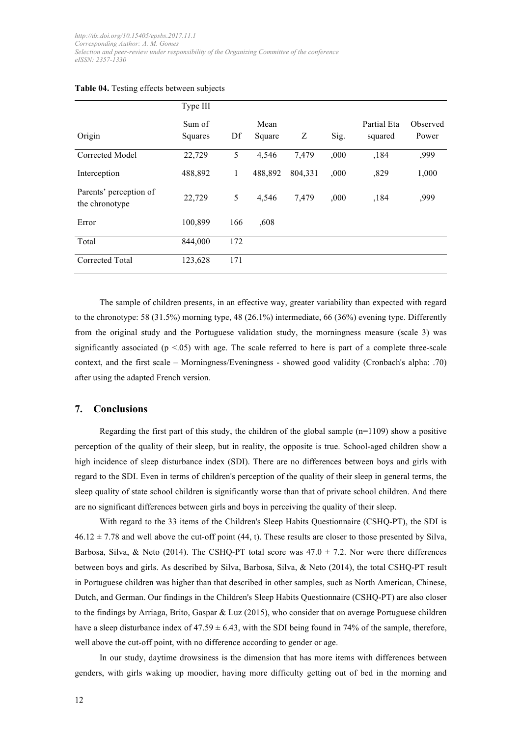|                                          | Type III          |     |                |         |      |                        |                   |
|------------------------------------------|-------------------|-----|----------------|---------|------|------------------------|-------------------|
| Origin                                   | Sum of<br>Squares | Df  | Mean<br>Square | Ζ       | Sig. | Partial Eta<br>squared | Observed<br>Power |
| Corrected Model                          | 22,729            | 5   | 4,546          | 7,479   | ,000 | ,184                   | ,999              |
| Interception                             | 488,892           | 1   | 488,892        | 804,331 | ,000 | ,829                   | 1,000             |
| Parents' perception of<br>the chronotype | 22,729            | 5   | 4,546          | 7,479   | ,000 | ,184                   | ,999              |
| Error                                    | 100,899           | 166 | ,608           |         |      |                        |                   |
| Total                                    | 844,000           | 172 |                |         |      |                        |                   |
| Corrected Total                          | 123,628           | 171 |                |         |      |                        |                   |

#### **Table 04.** Testing effects between subjects

The sample of children presents, in an effective way, greater variability than expected with regard to the chronotype: 58 (31.5%) morning type, 48 (26.1%) intermediate, 66 (36%) evening type. Differently from the original study and the Portuguese validation study, the morningness measure (scale 3) was significantly associated  $(p < .05)$  with age. The scale referred to here is part of a complete three-scale context, and the first scale – Morningness/Eveningness - showed good validity (Cronbach's alpha: .70) after using the adapted French version.

## **7. Conclusions**

Regarding the first part of this study, the children of the global sample  $(n=1109)$  show a positive perception of the quality of their sleep, but in reality, the opposite is true. School-aged children show a high incidence of sleep disturbance index (SDI). There are no differences between boys and girls with regard to the SDI. Even in terms of children's perception of the quality of their sleep in general terms, the sleep quality of state school children is significantly worse than that of private school children. And there are no significant differences between girls and boys in perceiving the quality of their sleep.

With regard to the 33 items of the Children's Sleep Habits Questionnaire (CSHQ-PT), the SDI is  $46.12 \pm 7.78$  and well above the cut-off point (44, t). These results are closer to those presented by Silva, Barbosa, Silva, & Neto (2014). The CSHQ-PT total score was  $47.0 \pm 7.2$ . Nor were there differences between boys and girls. As described by Silva, Barbosa, Silva, & Neto (2014), the total CSHQ-PT result in Portuguese children was higher than that described in other samples, such as North American, Chinese, Dutch, and German. Our findings in the Children's Sleep Habits Questionnaire (CSHQ-PT) are also closer to the findings by Arriaga, Brito, Gaspar & Luz (2015), who consider that on average Portuguese children have a sleep disturbance index of  $47.59 \pm 6.43$ , with the SDI being found in 74% of the sample, therefore, well above the cut-off point, with no difference according to gender or age.

In our study, daytime drowsiness is the dimension that has more items with differences between genders, with girls waking up moodier, having more difficulty getting out of bed in the morning and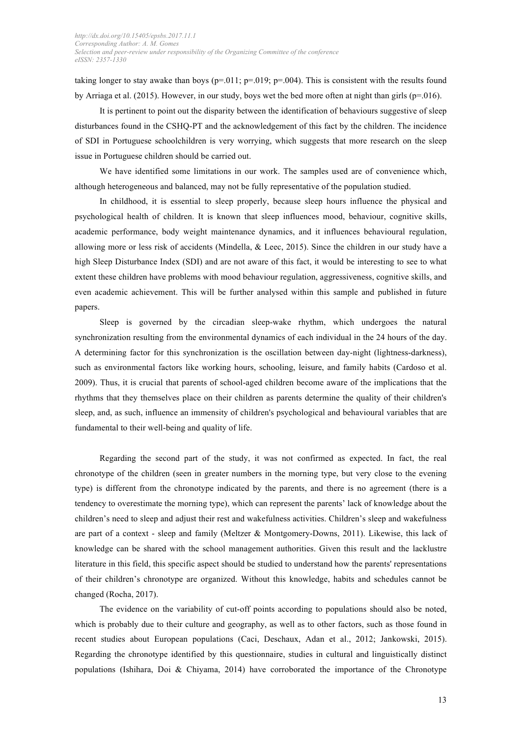taking longer to stay awake than boys ( $p=0.011$ ;  $p=0.019$ ;  $p=0.004$ ). This is consistent with the results found by Arriaga et al. (2015). However, in our study, boys wet the bed more often at night than girls ( $p=0.016$ ).

It is pertinent to point out the disparity between the identification of behaviours suggestive of sleep disturbances found in the CSHQ-PT and the acknowledgement of this fact by the children. The incidence of SDI in Portuguese schoolchildren is very worrying, which suggests that more research on the sleep issue in Portuguese children should be carried out.

We have identified some limitations in our work. The samples used are of convenience which, although heterogeneous and balanced, may not be fully representative of the population studied.

In childhood, it is essential to sleep properly, because sleep hours influence the physical and psychological health of children. It is known that sleep influences mood, behaviour, cognitive skills, academic performance, body weight maintenance dynamics, and it influences behavioural regulation, allowing more or less risk of accidents (Mindella, & Leec, 2015). Since the children in our study have a high Sleep Disturbance Index (SDI) and are not aware of this fact, it would be interesting to see to what extent these children have problems with mood behaviour regulation, aggressiveness, cognitive skills, and even academic achievement. This will be further analysed within this sample and published in future papers.

Sleep is governed by the circadian sleep-wake rhythm, which undergoes the natural synchronization resulting from the environmental dynamics of each individual in the 24 hours of the day. A determining factor for this synchronization is the oscillation between day-night (lightness-darkness), such as environmental factors like working hours, schooling, leisure, and family habits (Cardoso et al. 2009). Thus, it is crucial that parents of school-aged children become aware of the implications that the rhythms that they themselves place on their children as parents determine the quality of their children's sleep, and, as such, influence an immensity of children's psychological and behavioural variables that are fundamental to their well-being and quality of life.

Regarding the second part of the study, it was not confirmed as expected. In fact, the real chronotype of the children (seen in greater numbers in the morning type, but very close to the evening type) is different from the chronotype indicated by the parents, and there is no agreement (there is a tendency to overestimate the morning type), which can represent the parents' lack of knowledge about the children's need to sleep and adjust their rest and wakefulness activities. Children's sleep and wakefulness are part of a context - sleep and family (Meltzer & Montgomery-Downs, 2011). Likewise, this lack of knowledge can be shared with the school management authorities. Given this result and the lacklustre literature in this field, this specific aspect should be studied to understand how the parents' representations of their children's chronotype are organized. Without this knowledge, habits and schedules cannot be changed (Rocha, 2017).

The evidence on the variability of cut-off points according to populations should also be noted, which is probably due to their culture and geography, as well as to other factors, such as those found in recent studies about European populations (Caci, Deschaux, Adan et al., 2012; Jankowski, 2015). Regarding the chronotype identified by this questionnaire, studies in cultural and linguistically distinct populations (Ishihara, Doi & Chiyama, 2014) have corroborated the importance of the Chronotype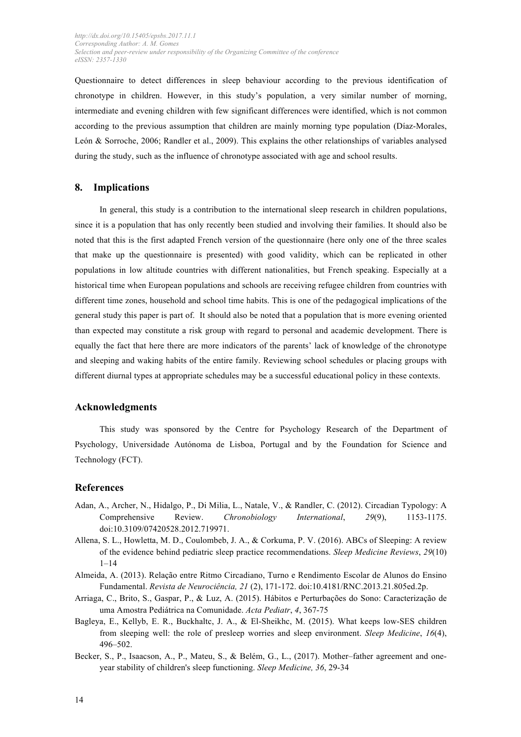Questionnaire to detect differences in sleep behaviour according to the previous identification of chronotype in children. However, in this study's population, a very similar number of morning, intermediate and evening children with few significant differences were identified, which is not common according to the previous assumption that children are mainly morning type population (Díaz-Morales, León & Sorroche, 2006; Randler et al., 2009). This explains the other relationships of variables analysed during the study, such as the influence of chronotype associated with age and school results.

## **8. Implications**

In general, this study is a contribution to the international sleep research in children populations, since it is a population that has only recently been studied and involving their families. It should also be noted that this is the first adapted French version of the questionnaire (here only one of the three scales that make up the questionnaire is presented) with good validity, which can be replicated in other populations in low altitude countries with different nationalities, but French speaking. Especially at a historical time when European populations and schools are receiving refugee children from countries with different time zones, household and school time habits. This is one of the pedagogical implications of the general study this paper is part of. It should also be noted that a population that is more evening oriented than expected may constitute a risk group with regard to personal and academic development. There is equally the fact that here there are more indicators of the parents' lack of knowledge of the chronotype and sleeping and waking habits of the entire family. Reviewing school schedules or placing groups with different diurnal types at appropriate schedules may be a successful educational policy in these contexts.

## **Acknowledgments**

This study was sponsored by the Centre for Psychology Research of the Department of Psychology, Universidade Autónoma de Lisboa, Portugal and by the Foundation for Science and Technology (FCT).

### **References**

- Adan, A., Archer, N., Hidalgo, P., Di Milia, L., Natale, V., & Randler, C. (2012). Circadian Typology: A Comprehensive Review. *Chronobiology International*, *29*(9), 1153-1175. doi:10.3109/07420528.2012.719971.
- Allena, S. L., Howletta, M. D., Coulombeb, J. A., & Corkuma, P. V. (2016). ABCs of Sleeping: A review of the evidence behind pediatric sleep practice recommendations. *Sleep Medicine Reviews*, *29*(10)  $1 - 14$
- Almeida, A. (2013). Relação entre Ritmo Circadiano, Turno e Rendimento Escolar de Alunos do Ensino Fundamental. *Revista de Neurociência, 21* (2), 171-172. doi:10.4181/RNC.2013.21.805ed.2p.
- Arriaga, C., Brito, S., Gaspar, P., & Luz, A. (2015). Hábitos e Perturbações do Sono: Caracterização de uma Amostra Pediátrica na Comunidade. *Acta Pediatr*, *4*, 367-75
- Bagleya, E., Kellyb, E. R., Buckhaltc, J. A., & El-Sheikhc, M. (2015). What keeps low-SES children from sleeping well: the role of presleep worries and sleep environment. *Sleep Medicine*, *16*(4), 496–502.
- Becker, S., P., Isaacson, A., P., Mateu, S., & Belém, G., L., (2017). Mother–father agreement and oneyear stability of children's sleep functioning. *Sleep Medicine, 36*, 29-34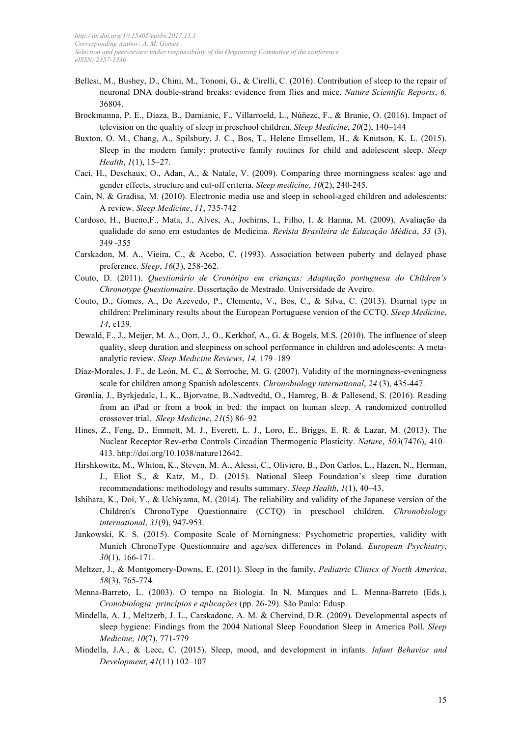- Bellesi, M., Bushey, D., Chini, M., Tononi, G., & Cirelli, C. (2016). Contribution of sleep to the repair of neuronal DNA double-strand breaks: evidence from flies and mice. *Nature Scientific Reports*, *6,* 36804.
- Brockmanna, P. E., Diaza, B., Damianic, F., Villarroeld, L., Núñezc, F., & Brunie, O. (2016). Impact of television on the quality of sleep in preschool children. *Sleep Medicine*, *20*(2), 140–144
- Buxton, O. M., Chang, A., Spilsbury, J. C., Bos, T., Helene Emsellem, H., & Knutson, K. L. (2015). Sleep in the modern family: protective family routines for child and adolescent sleep. *Sleep Health*, *1*(1), 15–27.
- Caci, H., Deschaux, O., Adan, A., & Natale, V. (2009). Comparing three morningness scales: age and gender effects, structure and cut-off criteria. *Sleep medicine*, *10*(2), 240-245.
- Cain, N. & Gradisa, M. (2010). Electronic media use and sleep in school-aged children and adolescents: A review. *Sleep Medicine*, *11*, 735-742
- Cardoso, H., Bueno,F., Mata, J., Alves, A., Jochims, I., Filho, I. & Hanna, M. (2009). Avaliação da qualidade do sono em estudantes de Medicina. *Revista Brasileira de Educação Médica*, *33* (3), 349 -355
- Carskadon, M. A., Vieira, C., & Acebo, C. (1993). Association between puberty and delayed phase preference. *Sleep*, *16*(3), 258-262.
- Couto, D. (2011). *Questionário de Cronótipo em crianças: Adaptação portuguesa do Children's Chronotype Questionnaire*. Dissertação de Mestrado. Universidade de Aveiro.
- Couto, D., Gomes, A., De Azevedo, P., Clemente, V., Bos, C., & Silva, C. (2013). Diurnal type in children: Preliminary results about the European Portuguese version of the CCTQ. *Sleep Medicine*, *14*, e139.
- Dewald, F., J., Meijer, M. A., Oort, J., O., Kerkhof, A., G. & Bogels, M.S. (2010). The influence of sleep quality, sleep duration and sleepiness on school performance in children and adolescents: A metaanalytic review. *Sleep Medicine Reviews*, *14,* 179–189
- Díaz-Morales, J. F., de León, M. C., & Sorroche, M. G. (2007). Validity of the morningness-eveningness scale for children among Spanish adolescents. *Chronobiology international*, *24* (3), 435-447.
- Grønlia, J., Byrkjedalc, I., K., Bjorvatne, B.,Nødtvedtd, O., Hamreg, B. & Pallesend, S. (2016). Reading from an iPad or from a book in bed: the impact on human sleep. A randomized controlled crossover trial. *Sleep Medicine*, *21*(5) 86–92
- Hines, Z., Feng, D., Emmett, M. J., Everett, L. J., Loro, E., Briggs, E. R. & Lazar, M. (2013). The Nuclear Receptor Rev-erbα Controls Circadian Thermogenic Plasticity. *Nature*, *503*(7476), 410– 413. http://doi.org/10.1038/nature12642.
- Hirshkowitz, M., Whiton, K., Steven, M. A., Alessi, C., Oliviero, B., Don Carlos, L., Hazen, N., Herman, J., Eliot S., & Katz, M., D. (2015). National Sleep Foundation's sleep time duration recommendations: methodology and results summary. *Sleep Health*, *1*(1), 40–43.
- Ishihara, K., Doi, Y., & Uchiyama, M. (2014). The reliability and validity of the Japanese version of the Children's ChronoType Questionnaire (CCTQ) in preschool children. *Chronobiology international*, *31*(9), 947-953.
- Jankowski, K. S. (2015). Composite Scale of Morningness: Psychometric properties, validity with Munich ChronoType Questionnaire and age/sex differences in Poland. *European Psychiatry*, *30*(1), 166-171.
- Meltzer, J., & Montgomery-Downs, E. (2011). Sleep in the family. *Pediatric Clinics of North America*, *58*(3), 765-774.
- Menna-Barreto, L. (2003). O tempo na Biologia. In N. Marques and L. Menna-Barreto (Eds.), *Cronobiologia: princípios e aplicações* (pp. 26-29). São Paulo: Edusp.
- Mindella, A. J., Meltzerb, J. L., Carskadonc, A. M. & Chervind, D.R. (2009). Developmental aspects of sleep hygiene: Findings from the 2004 National Sleep Foundation Sleep in America Poll. *Sleep Medicine*, *10*(7), 771-779
- Mindella, J.A., & Leec, C. (2015). Sleep, mood, and development in infants. *Infant Behavior and Development, 41*(11) 102–107